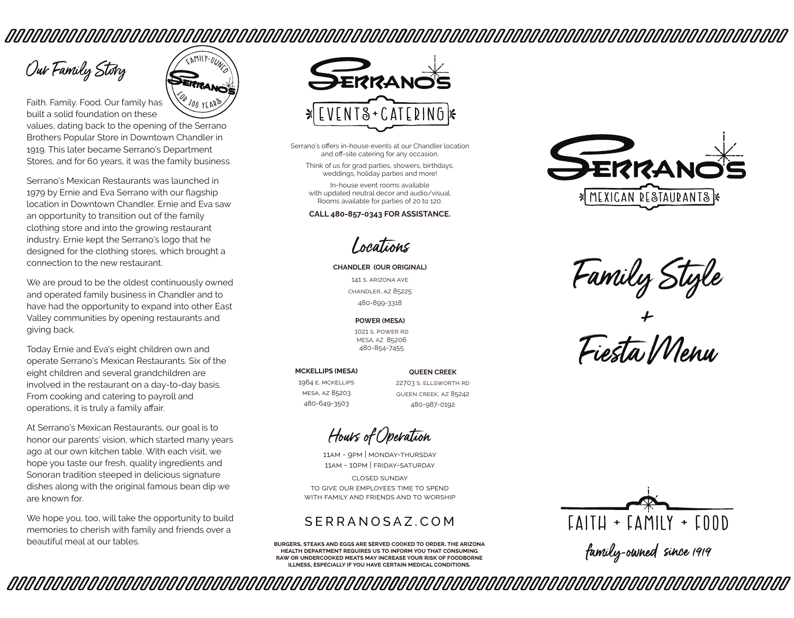# 

Our Family Story

Faith. Family. Food. Our family has  $200 \text{ yr}$ built a solid foundation on these values, dating back to the opening of the Serrano Brothers Popular Store in Downtown Chandler in 1919. This later became Serrano's Department Stores, and for 60 years, it was the family business.

FAMILY-OUN

Serrano's Mexican Restaurants was launched in 1979 by Ernie and Eva Serrano with our flagship location in Downtown Chandler. Ernie and Eva saw an opportunity to transition out of the family clothing store and into the growing restaurant industry. Ernie kept the Serrano's logo that he designed for the clothing stores, which brought a connection to the new restaurant.

We are proud to be the oldest continuously owned and operated family business in Chandler and to have had the opportunity to expand into other East Valley communities by opening restaurants and giving back.

Today Ernie and Eva's eight children own and operate Serrano's Mexican Restaurants. Six of the eight children and several grandchildren are involved in the restaurant on a day-to-day basis. From cooking and catering to payroll and operations, it is truly a family affair.

At Serrano's Mexican Restaurants, our goal is to honor our parents' vision, which started many years ago at our own kitchen table. With each visit, we hope you taste our fresh, quality ingredients and Sonoran tradition steeped in delicious signature dishes along with the original famous bean dip we are known for.

We hope you, too, will take the opportunity to build memories to cherish with family and friends over a beautiful meal at our tables.

*MMNAMMANAMMANAMMANAMMANAMMANAMMANAM* 



Serrano's offers in-house events at our Chandler location and off-site catering for any occasion.

Think of us for grad parties, showers, birthdays, weddings, holiday parties and more!

In-house event rooms available with updated neutral decor and audio/visual. Rooms available for parties of 20 to 120.

**CALL 480-857-0343 FOR ASSISTANCE.**

Locations

**CHANDLER (OUR ORIGINAL)**

141 s. arizona ave chandler, az 85225 480-899-3318

**POWER (MESA)**

1021 s. power rd MESA, AZ 85206 480-854-7455

#### **MCKELLIPS (MESA)**

1964 e. mckellips mesa, az 85203 480-649-3503

22703 s. ellsworth rd queen creek, az 85242 480-987-0192

**QUEEN CREEK**

Hours of Operation

11am - 9pm | monday-thursday 11am - 10pm | friday-saturday

closed sunday to give our employees time to spend with family and friends and to worship

## SERRANOSAZ.COM

**burgers, steaks and eggs are served cooked to order. the arizona health department requires us to inform you that consuming raw or undercooked meats may increase your risk of foodborne illness, especially if you have certain medical conditions.**



Family Style

+ Fiesta Menu



family-owned since 1919